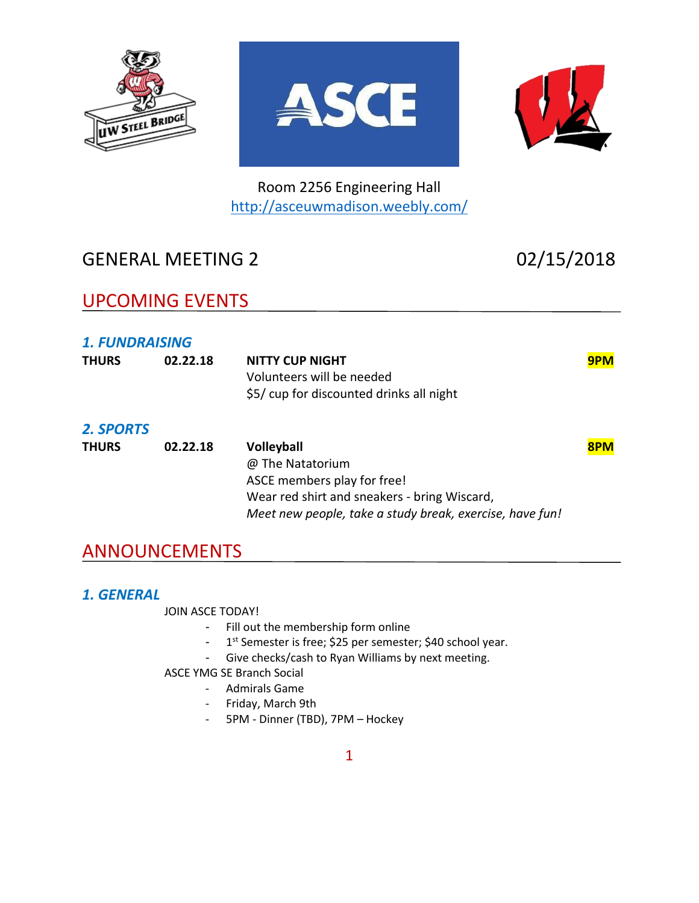





Room 2256 Engineering Hall <http://asceuwmadison.weebly.com/>

# GENERAL MEETING 2 02/15/2018

# UPCOMING EVENTS

## *1. FUNDRAISING*

| <b>THURS</b>     | 02.22.18 | <b>NITTY CUP NIGHT</b><br>Volunteers will be needed<br>\$5/ cup for discounted drinks all night | 9PM |
|------------------|----------|-------------------------------------------------------------------------------------------------|-----|
| <b>2. SPORTS</b> |          |                                                                                                 |     |
| <b>THURS</b>     | 02.22.18 | <b>Volleyball</b>                                                                               | 8PM |
|                  |          | @ The Natatorium                                                                                |     |
|                  |          | ASCE members play for free!                                                                     |     |
|                  |          | Wear red shirt and sneakers - bring Wiscard,                                                    |     |
|                  |          | Meet new people, take a study break, exercise, have fun!                                        |     |

# ANNOUNCEMENTS

## *1. GENERAL*

JOIN ASCE TODAY!

- Fill out the membership form online
- 1<sup>st</sup> Semester is free; \$25 per semester; \$40 school year.
- Give checks/cash to Ryan Williams by next meeting.

ASCE YMG SE Branch Social

- Admirals Game
- Friday, March 9th
- 5PM Dinner (TBD), 7PM Hockey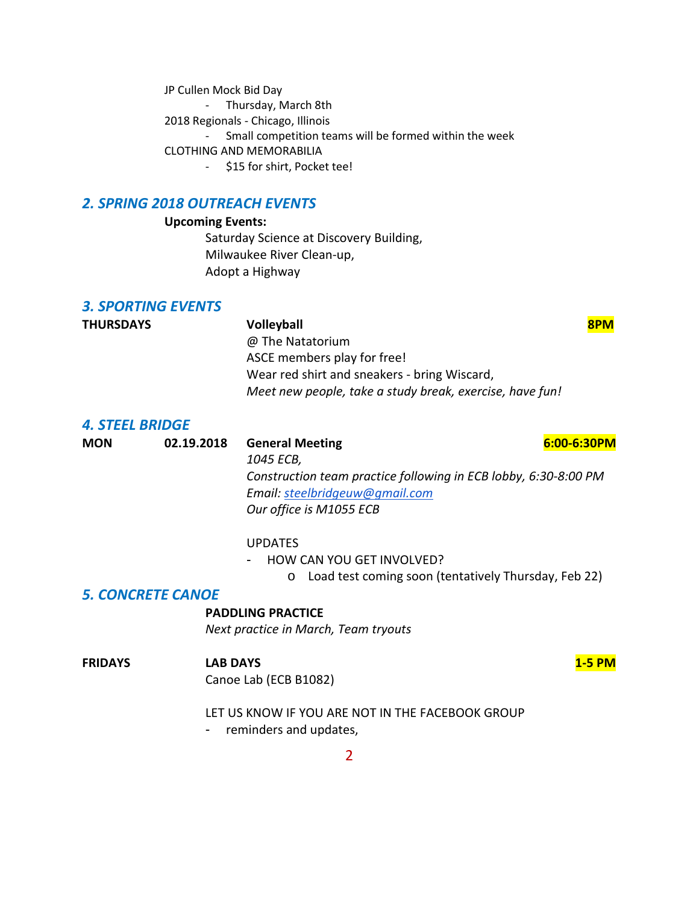JP Cullen Mock Bid Day

- Thursday, March 8th

2018 Regionals - Chicago, Illinois

- Small competition teams will be formed within the week

CLOTHING AND MEMORABILIA

- \$15 for shirt, Pocket tee!

### *2. SPRING 2018 OUTREACH EVENTS*

### **Upcoming Events:**

Saturday Science at Discovery Building, Milwaukee River Clean-up, Adopt a Highway

## *3. SPORTING EVENTS*

| <b>THURSDAYS</b> | <b>Volleyball</b>                                        | 8PM |
|------------------|----------------------------------------------------------|-----|
|                  | @ The Natatorium                                         |     |
|                  | ASCE members play for free!                              |     |
|                  | Wear red shirt and sneakers - bring Wiscard,             |     |
|                  | Meet new people, take a study break, exercise, have fun! |     |
|                  |                                                          |     |

### *4. STEEL BRIDGE*

| <b>MON</b> | 02.19.2018 | <b>General Meeting</b>                                          | 6:00-6:30PM |
|------------|------------|-----------------------------------------------------------------|-------------|
|            |            | 1045 ECB,                                                       |             |
|            |            | Construction team practice following in ECB lobby, 6:30-8:00 PM |             |
|            |            | Email: steelbridgeuw@gmail.com                                  |             |
|            |            | Our office is M1055 ECB                                         |             |
|            |            | <b>UPDATES</b>                                                  |             |

### - HOW CAN YOU GET INVOLVED?

o Load test coming soon (tentatively Thursday, Feb 22)

### *5. CONCRETE CANOE*

### **PADDLING PRACTICE**

*Next practice in March, Team tryouts*

### **FRIDAYS LAB DAYS 1-5 PM**

Canoe Lab (ECB B1082)

LET US KNOW IF YOU ARE NOT IN THE FACEBOOK GROUP

- reminders and updates,